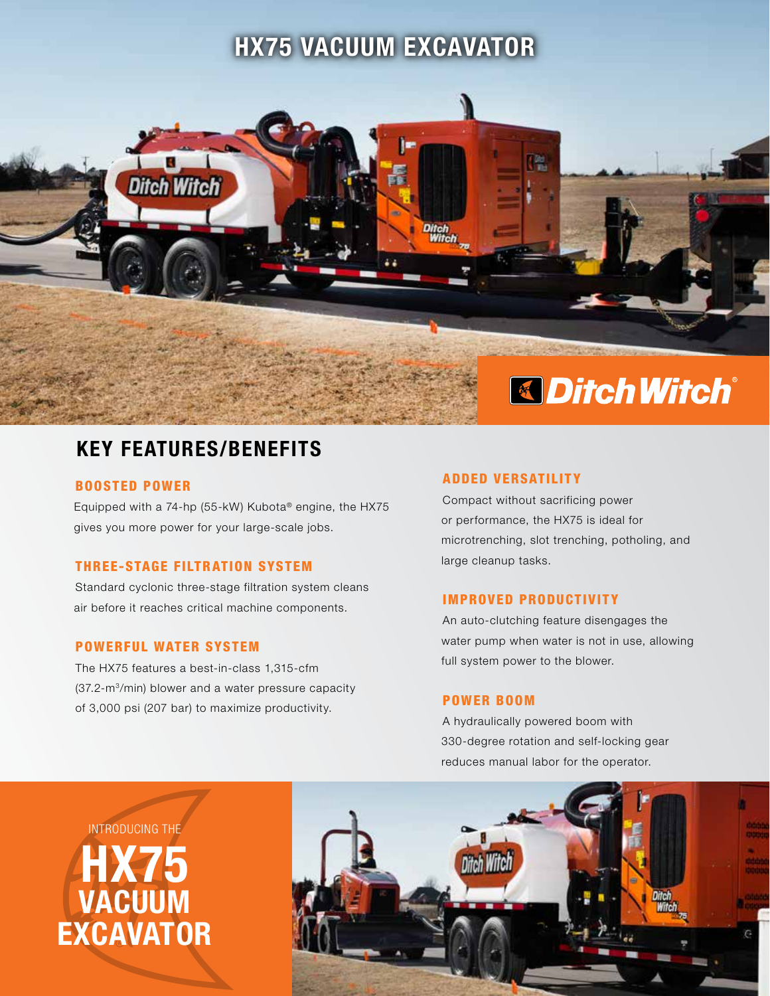# HX75 VACUUM EXCAVATOR



# KEY FEATURES/BENEFITS

### BOOSTED POWER

Equipped with a 74-hp (55-kW) Kubota® engine, the HX75 gives you more power for your large-scale jobs.

## THREE-STAGE FILTRATION SYSTEM

Standard cyclonic three-stage filtration system cleans air before it reaches critical machine components.

# POWERFUL WATER SYSTEM

The HX75 features a best-in-class 1,315-cfm (37.2-m3/min) blower and a water pressure capacity of 3,000 psi (207 bar) to maximize productivity.

### **ADDED VERSATILITY**

Compact without sacrificing power or performance, the HX75 is ideal for microtrenching, slot trenching, potholing, and large cleanup tasks.

### IMPROVED PRODUCTIVITY

An auto-clutching feature disengages the water pump when water is not in use, allowing full system power to the blower.

#### POWER BOOM

A hydraulically powered boom with 330-degree rotation and self-locking gear reduces manual labor for the operator.